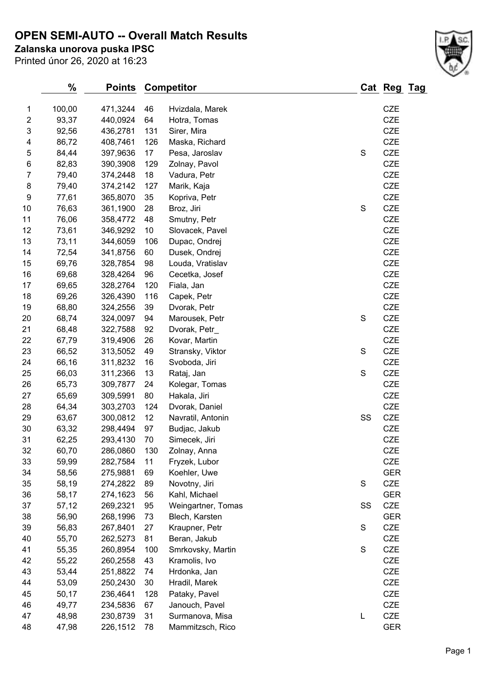## **OPEN SEMI-AUTO -- Overall Match Results**

**Zalanska unorova puska IPSC**

Printed únor 26, 2020 at 16:23

| 1                       | 100,00 | 471,3244 | 46  | Hvizdala, Marek    |    | <b>CZE</b> |
|-------------------------|--------|----------|-----|--------------------|----|------------|
| $\overline{\mathbf{c}}$ | 93,37  | 440,0924 | 64  | Hotra, Tomas       |    | CZE        |
| 3                       | 92,56  | 436,2781 | 131 | Sirer, Mira        |    | <b>CZE</b> |
| 4                       | 86,72  | 408,7461 | 126 | Maska, Richard     |    | <b>CZE</b> |
| 5                       | 84,44  | 397,9636 | 17  | Pesa, Jaroslav     | S  | CZE        |
| 6                       | 82,83  | 390,3908 | 129 | Zolnay, Pavol      |    | CZE        |
| $\overline{7}$          | 79,40  | 374,2448 | 18  | Vadura, Petr       |    | CZE        |
| 8                       | 79,40  | 374,2142 | 127 | Marik, Kaja        |    | <b>CZE</b> |
| 9                       | 77,61  | 365,8070 | 35  | Kopriva, Petr      |    | CZE        |
| 10                      | 76,63  | 361,1900 | 28  | Broz, Jiri         | S  | CZE        |
| 11                      | 76,06  | 358,4772 | 48  | Smutny, Petr       |    | <b>CZE</b> |
| 12                      | 73,61  | 346,9292 | 10  | Slovacek, Pavel    |    | <b>CZE</b> |
| 13                      | 73,11  | 344,6059 | 106 | Dupac, Ondrej      |    | CZE        |
| 14                      | 72,54  | 341,8756 | 60  | Dusek, Ondrej      |    | CZE        |
| 15                      | 69,76  | 328,7854 | 98  | Louda, Vratislav   |    | CZE        |
| 16                      | 69,68  | 328,4264 | 96  | Cecetka, Josef     |    | CZE        |
| 17                      | 69,65  | 328,2764 | 120 | Fiala, Jan         |    | <b>CZE</b> |
| 18                      | 69,26  | 326,4390 | 116 | Capek, Petr        |    | <b>CZE</b> |
| 19                      | 68,80  | 324,2556 | 39  | Dvorak, Petr       |    | <b>CZE</b> |
| 20                      | 68,74  | 324,0097 | 94  | Marousek, Petr     | S  | CZE        |
| 21                      | 68,48  | 322,7588 | 92  | Dvorak, Petr_      |    | <b>CZE</b> |
| 22                      | 67,79  | 319,4906 | 26  | Kovar, Martin      |    | <b>CZE</b> |
| 23                      | 66,52  | 313,5052 | 49  | Stransky, Viktor   | S  | <b>CZE</b> |
| 24                      | 66,16  | 311,8232 | 16  | Svoboda, Jiri      |    | <b>CZE</b> |
| 25                      | 66,03  | 311,2366 | 13  | Rataj, Jan         | S  | <b>CZE</b> |
| 26                      | 65,73  | 309,7877 | 24  | Kolegar, Tomas     |    | <b>CZE</b> |
| 27                      | 65,69  | 309,5991 | 80  | Hakala, Jiri       |    | <b>CZE</b> |
| 28                      | 64,34  | 303,2703 | 124 | Dvorak, Daniel     |    | CZE        |
| 29                      | 63,67  | 300,0812 | 12  | Navratil, Antonin  | SS | CZE        |
| 30                      | 63,32  | 298,4494 | 97  | Budjac, Jakub      |    | <b>CZE</b> |
| 31                      | 62,25  | 293,4130 | 70  | Simecek, Jiri      |    | <b>CZE</b> |
| 32                      | 60,70  | 286,0860 | 130 | Zolnay, Anna       |    | CZE        |
| 33                      | 59,99  | 282,7584 | 11  | Fryzek, Lubor      |    | <b>CZE</b> |
| 34                      | 58,56  | 275,9881 | 69  | Koehler, Uwe       |    | <b>GER</b> |
| 35                      | 58,19  | 274,2822 | 89  | Novotny, Jiri      | S  | <b>CZE</b> |
| 36                      | 58,17  | 274,1623 | 56  | Kahl, Michael      |    | <b>GER</b> |
| 37                      | 57,12  | 269,2321 | 95  | Weingartner, Tomas | SS | <b>CZE</b> |
| 38                      | 56,90  | 268,1996 | 73  | Blech, Karsten     |    | <b>GER</b> |
| 39                      | 56,83  | 267,8401 | 27  | Kraupner, Petr     | S  | <b>CZE</b> |
| 40                      | 55,70  | 262,5273 | 81  | Beran, Jakub       |    | CZE        |
| 41                      | 55,35  | 260,8954 | 100 | Smrkovsky, Martin  | S  | <b>CZE</b> |
| 42                      | 55,22  | 260,2558 | 43  | Kramolis, Ivo      |    | <b>CZE</b> |
| 43                      | 53,44  | 251,8822 | 74  | Hrdonka, Jan       |    | <b>CZE</b> |
| 44                      | 53,09  | 250,2430 | 30  | Hradil, Marek      |    | <b>CZE</b> |
| 45                      | 50,17  | 236,4641 | 128 | Pataky, Pavel      |    | <b>CZE</b> |
| 46                      | 49,77  | 234,5836 | 67  | Janouch, Pavel     |    | <b>CZE</b> |
| 47                      | 48,98  | 230,8739 | 31  | Surmanova, Misa    | L  | CZE        |
| 48                      | 47,98  | 226,1512 | 78  | Mammitzsch, Rico   |    | <b>GER</b> |
|                         |        |          |     |                    |    |            |

**% Points Competitor Cat Reg Tag**

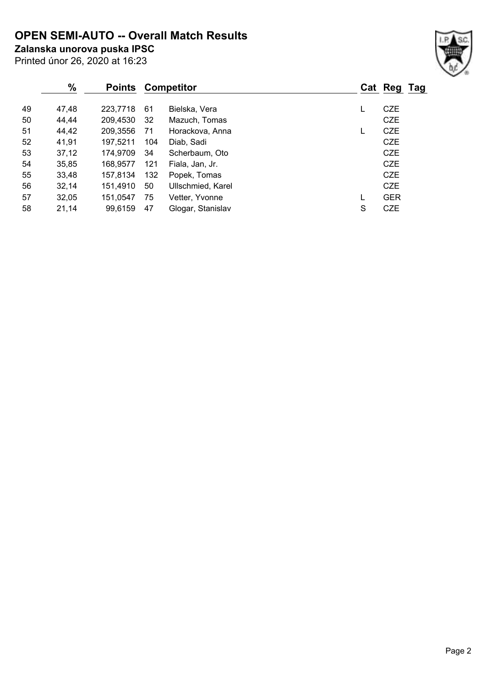**OPEN SEMI-AUTO -- Overall Match Results**

**Zalanska unorova puska IPSC**

|  | Printed únor 26, 2020 at 16:23 |  |
|--|--------------------------------|--|

### **% Points Competitor Cat Reg Tag** 47,48 223,7718 61 Bielska, Vera L CZE 44,44 209,4530 32 Mazuch, Tomas CZE 44,42 209,3556 71 Horackova, Anna L CZE 41,91 197,5211 104 Diab, Sadi CZE 37,12 174,9709 34 Scherbaum, Oto CZE 35,85 168,9577 121 Fiala, Jan, Jr. CZE 33,48 157,8134 132 Popek, Tomas CZE 32,14 151,4910 50 Ullschmied, Karel CZE 32,05 151,0547 75 Vetter, Yvonne L GER 21,14 99,6159 47 Glogar, Stanislav S CZE

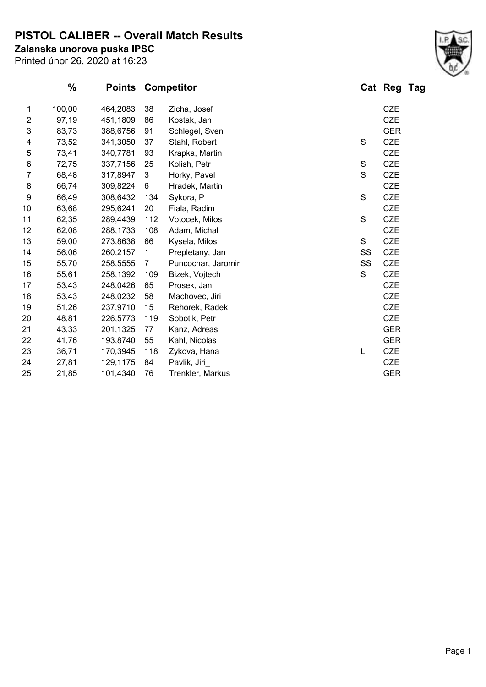**PISTOL CALIBER -- Overall Match Results**

**Zalanska unorova puska IPSC**

Printed únor 26, 2020 at 16:23

#### **% Points Competitor Cat Reg Tag** 1 100,00 464,2083 38 Zicha, Josef CZE 2 97,19 451,1809 86 Kostak, Jan CZE 3 83,73 388,6756 91 Schlegel, Sven GER 4 73,52 341,3050 37 Stahl, Robert S CZE 5 73,41 340,7781 93 Krapka, Martin CZE 6 72,75 337,7156 25 Kolish, Petr S CZE 7 68,48 317,8947 3 Horky, Pavel S CZE 8 66,74 309,8224 6 Hradek, Martin CZE 9 66,49 308,6432 134 Sykora, P S CZE 10 63,68 295,6241 20 Fiala, Radim CZE 11 62,35 289,4439 112 Votocek, Milos S CZE 12 62,08 288,1733 108 Adam, Michal CZE 13 59,00 273,8638 66 Kysela, Milos S CZE 14 56,06 260,2157 1 Prepletany, Jan SS CZE 15 55,70 258,5555 7 Puncochar, Jaromir SS CZE 16 55,61 258,1392 109 Bizek, Vojtech S CZE 17 53,43 248,0426 65 Prosek, Jan CZE 18 53,43 248,0232 58 Machovec, Jiri CZE 19 51,26 237,9710 15 Rehorek, Radek CZE 20 48,81 226,5773 119 Sobotik, Petr CZE 21 43,33 201,1325 77 Kanz, Adreas GER 22 41,76 193,8740 55 Kahl, Nicolas GER 23 36,71 170,3945 118 Zykova, Hana L CZE 24 27,81 129,1175 84 Pavlik, Jiri\_ CZE 25 21,85 101,4340 76 Trenkler, Markus GER

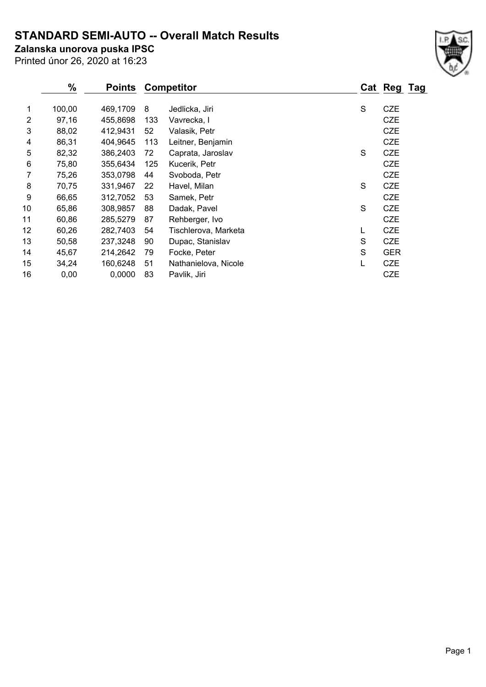# **STANDARD SEMI-AUTO -- Overall Match Results**

**Zalanska unorova puska IPSC**

Printed únor 26, 2020 at 16:23

|    | %      | <b>Points</b> | <b>Competitor</b> |                      |   | Cat Reg    | Tag |
|----|--------|---------------|-------------------|----------------------|---|------------|-----|
| 1  | 100,00 | 469,1709      | 8                 | Jedlicka, Jiri       | S | <b>CZE</b> |     |
| 2  | 97,16  | 455,8698      | 133               | Vavrecka, I          |   | <b>CZE</b> |     |
| 3  | 88,02  | 412,9431      | 52                | Valasik, Petr        |   | <b>CZE</b> |     |
| 4  | 86,31  | 404,9645      | 113               | Leitner, Benjamin    |   | <b>CZE</b> |     |
| 5  | 82,32  | 386,2403      | 72                | Caprata, Jaroslav    | S | <b>CZE</b> |     |
| 6  | 75,80  | 355,6434      | 125               | Kucerik, Petr        |   | <b>CZE</b> |     |
| 7  | 75,26  | 353,0798      | 44                | Svoboda, Petr        |   | <b>CZE</b> |     |
| 8  | 70,75  | 331,9467      | 22                | Havel, Milan         | S | <b>CZE</b> |     |
| 9  | 66,65  | 312,7052      | 53                | Samek, Petr          |   | <b>CZE</b> |     |
| 10 | 65,86  | 308,9857      | 88                | Dadak, Pavel         | S | <b>CZE</b> |     |
| 11 | 60,86  | 285,5279      | 87                | Rehberger, Ivo       |   | <b>CZE</b> |     |
| 12 | 60,26  | 282,7403      | 54                | Tischlerova, Marketa |   | <b>CZE</b> |     |
| 13 | 50,58  | 237,3248      | 90                | Dupac, Stanislav     | S | <b>CZE</b> |     |
| 14 | 45,67  | 214,2642      | 79                | Focke, Peter         | S | <b>GER</b> |     |
| 15 | 34,24  | 160,6248      | 51                | Nathanielova, Nicole |   | <b>CZE</b> |     |
| 16 | 0,00   | 0,0000        | 83                | Pavlik, Jiri         |   | <b>CZE</b> |     |